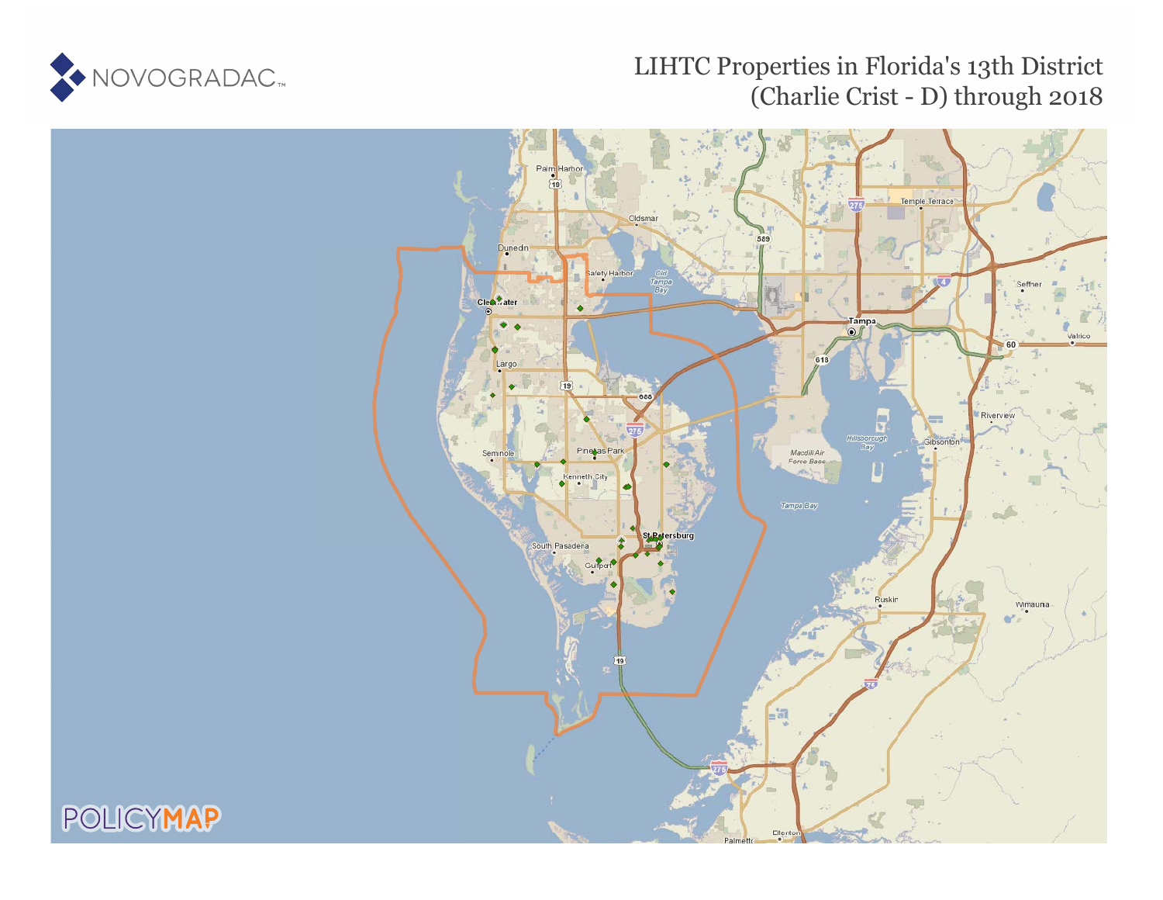

# LIHTC Properties in Florida's 13th District (Charlie Crist - D) through 2018



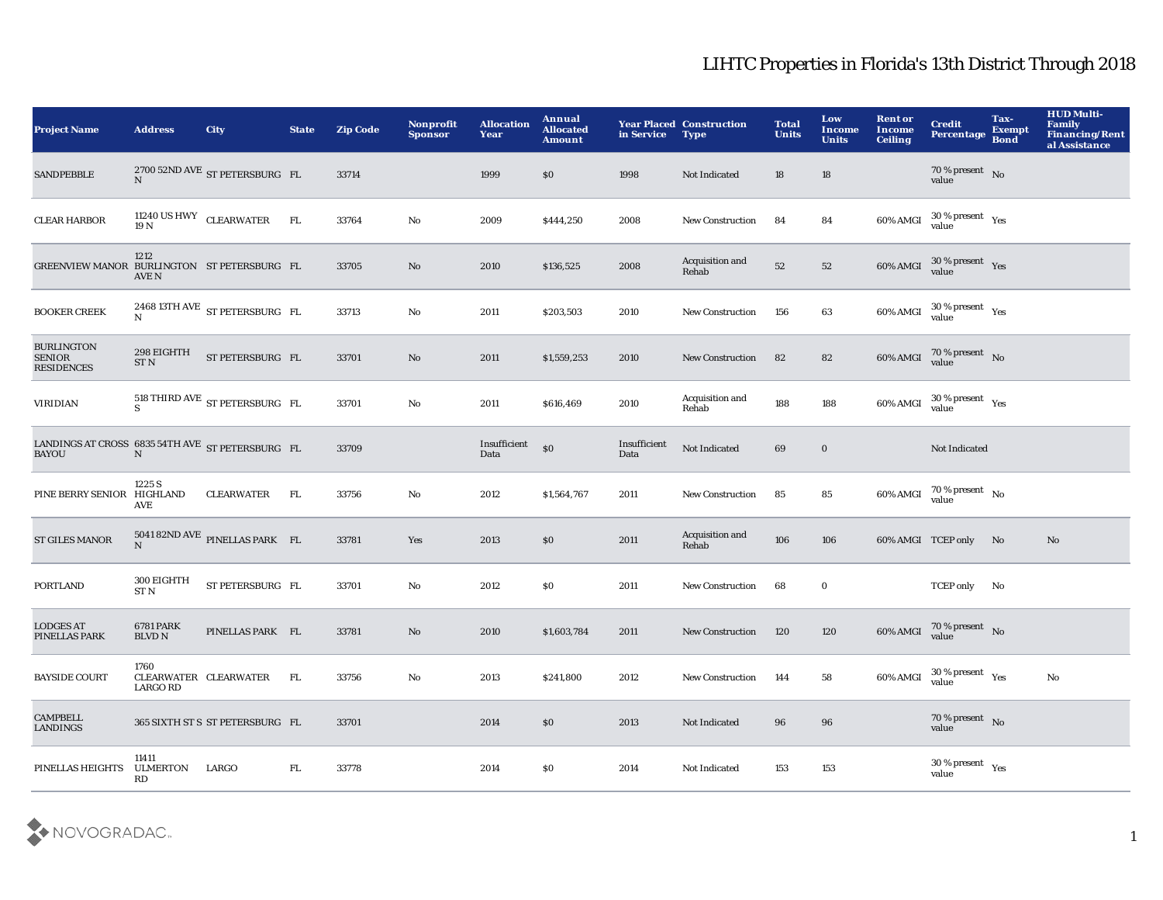| <b>Project Name</b>                                                        | <b>Address</b>                    | <b>City</b>                                     | <b>State</b> | <b>Zip Code</b> | Nonprofit<br><b>Sponsor</b> | <b>Allocation</b><br>Year | Annual<br><b>Allocated</b><br><b>Amount</b> | in Service           | <b>Year Placed Construction</b><br><b>Type</b> | <b>Total</b><br><b>Units</b> | Low<br><b>Income</b><br><b>Units</b> | <b>Rent</b> or<br><b>Income</b><br><b>Ceiling</b> | <b>Credit</b><br>Percentage        | Tax-<br><b>Exempt</b><br><b>Bond</b> | <b>HUD Multi-</b><br><b>Family</b><br>Financing/Rent<br>al Assistance |
|----------------------------------------------------------------------------|-----------------------------------|-------------------------------------------------|--------------|-----------------|-----------------------------|---------------------------|---------------------------------------------|----------------------|------------------------------------------------|------------------------------|--------------------------------------|---------------------------------------------------|------------------------------------|--------------------------------------|-----------------------------------------------------------------------|
| <b>SANDPEBBLE</b>                                                          | $\mathbf N$                       | 2700 52ND AVE ST PETERSBURG FL                  |              | 33714           |                             | 1999                      | \$0                                         | 1998                 | Not Indicated                                  | 18                           | 18                                   |                                                   | $70\,\%$ present $$\rm{No}$$ value |                                      |                                                                       |
| <b>CLEAR HARBOR</b>                                                        |                                   | 11240 US HWY CLEARWATER<br>19 N                 | FL           | 33764           | No                          | 2009                      | \$444,250                                   | 2008                 | <b>New Construction</b>                        | 84                           | 84                                   |                                                   | 60% AMGI 30 % present Yes          |                                      |                                                                       |
| GREENVIEW MANOR BURLINGTON ST PETERSBURG FL                                | 1212<br><b>AVE N</b>              |                                                 |              | 33705           | $\mathbf{No}$               | 2010                      | \$136,525                                   | 2008                 | Acquisition and<br>Rehab                       | 52                           | 52                                   |                                                   | 60% AMGI 30 % present Yes          |                                      |                                                                       |
| <b>BOOKER CREEK</b>                                                        | N                                 | 2468 13TH AVE ST PETERSBURG FL                  |              | 33713           | No                          | 2011                      | \$203,503                                   | 2010                 | <b>New Construction</b>                        | 156                          | 63                                   |                                                   | 60% AMGI 30 % present Yes          |                                      |                                                                       |
| <b>BURLINGTON</b><br><b>SENIOR</b><br><b>RESIDENCES</b>                    | 298 EIGHTH<br>ST <sub>N</sub>     | ST PETERSBURG FL                                |              | 33701           | $\mathbf {No}$              | 2011                      | \$1,559,253                                 | 2010                 | <b>New Construction</b>                        | 82                           | 82                                   |                                                   | 60% AMGI 70% present No            |                                      |                                                                       |
| <b>VIRIDIAN</b>                                                            |                                   | $518$ THIRD AVE $\:$ ST PETERSBURG $\:$ FL $\:$ |              | 33701           | $\mathbf {No}$              | 2011                      | \$616,469                                   | 2010                 | Acquisition and<br>Rehab                       | 188                          | 188                                  |                                                   | 60% AMGI 30 % present Yes          |                                      |                                                                       |
| LANDINGS AT CROSS $\,$ 6835 54TH AVE $\,$ ST PETERSBURG $\,$ FL BAYOU $\,$ |                                   |                                                 |              | 33709           |                             | Insufficient<br>Data      | \$0                                         | Insufficient<br>Data | Not Indicated                                  | 69                           | $\bf{0}$                             |                                                   | Not Indicated                      |                                      |                                                                       |
| PINE BERRY SENIOR HIGHLAND                                                 | 1225 S<br>AVE                     | <b>CLEARWATER</b>                               | FL           | 33756           | $\mathbf {No}$              | 2012                      | \$1,564,767                                 | 2011                 | <b>New Construction</b>                        | 85                           | 85                                   |                                                   | 60% AMGI 70 % present No           |                                      |                                                                       |
| <b>ST GILES MANOR</b>                                                      | N                                 | 5041 82ND AVE PINELLAS PARK FL                  |              | 33781           | Yes                         | 2013                      | \$0                                         | 2011                 | Acquisition and<br>Rehab                       | 106                          | 106                                  |                                                   | 60% AMGI TCEP only No              |                                      | No                                                                    |
| <b>PORTLAND</b>                                                            | 300 EIGHTH<br>ST <sub>N</sub>     | ST PETERSBURG FL                                |              | 33701           | $\mathbf {No}$              | 2012                      | $\$0$                                       | 2011                 | New Construction                               | 68                           | $\bf{0}$                             |                                                   | TCEP only No                       |                                      |                                                                       |
| <b>LODGES AT</b><br>PINELLAS PARK                                          | <b>6781 PARK</b><br><b>BLVD N</b> | PINELLAS PARK FL                                |              | 33781           | $\mathbf{No}$               | 2010                      | \$1,603,784                                 | 2011                 | New Construction                               | 120                          | 120                                  |                                                   | 60% AMGI 70 % present No           |                                      |                                                                       |
| <b>BAYSIDE COURT</b>                                                       | 1760<br><b>LARGO RD</b>           | CLEARWATER CLEARWATER                           | FL           | 33756           | $\mathbf {No}$              | 2013                      | \$241,800                                   | 2012                 | <b>New Construction</b>                        | 144                          | 58                                   | 60% AMGI                                          | $30\,\%$ present $\;\;$ Yes        |                                      | $\mathbf{N}\mathbf{o}$                                                |
| <b>CAMPBELL</b><br><b>LANDINGS</b>                                         |                                   | 365 SIXTH ST S ST PETERSBURG FL                 |              | 33701           |                             | 2014                      | $\$0$                                       | 2013                 | Not Indicated                                  | 96                           | 96                                   |                                                   | $70\,\%$ present $$$ No value      |                                      |                                                                       |
| PINELLAS HEIGHTS                                                           | 11411<br><b>ULMERTON</b><br>RD    | LARGO                                           | ${\rm FL}$   | 33778           |                             | 2014                      | \$0                                         | 2014                 | Not Indicated                                  | 153                          | 153                                  |                                                   | $30\,\%$ present $\;\;$ Yes value  |                                      |                                                                       |

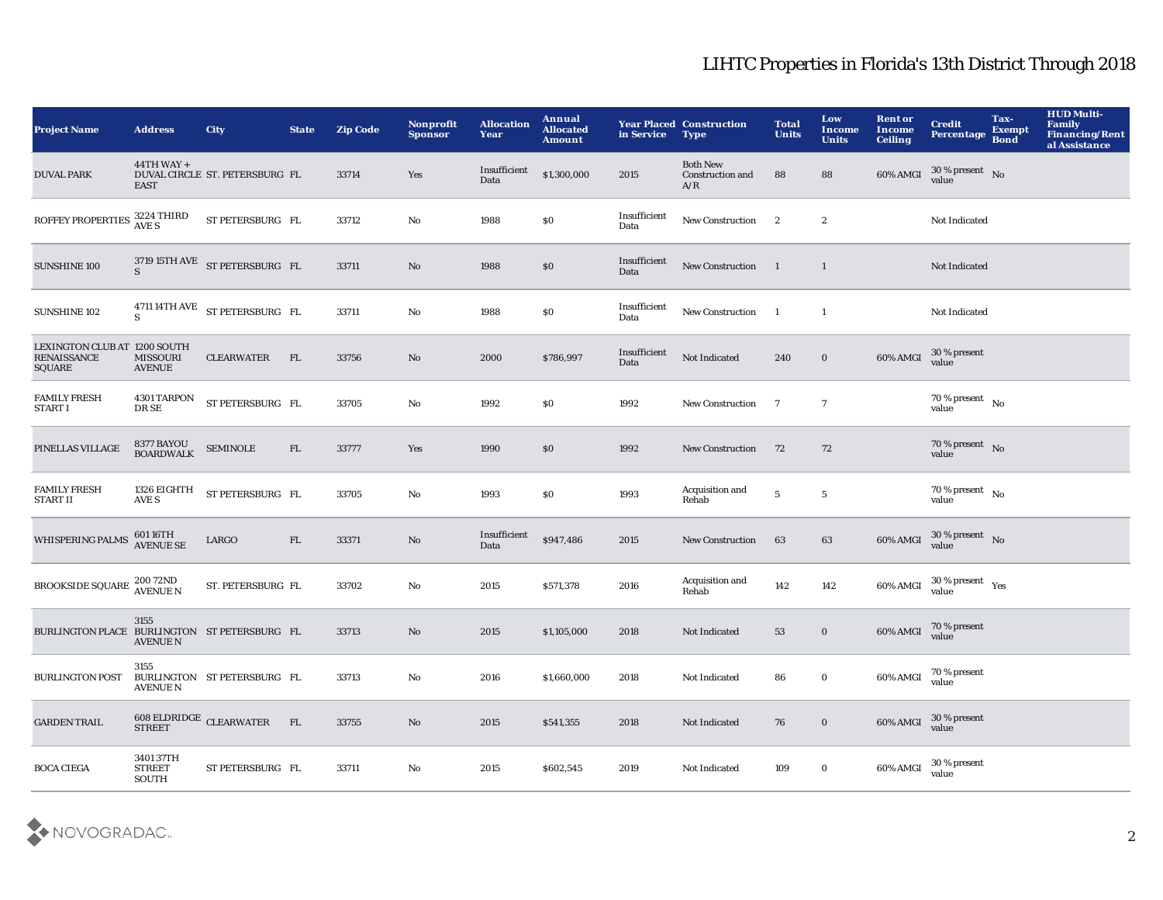| <b>Project Name</b>                                          | <b>Address</b>                      | City                                                    | <b>State</b> | <b>Zip Code</b> | <b>Nonprofit</b><br><b>Sponsor</b> | <b>Allocation</b><br>Year | <b>Annual</b><br><b>Allocated</b><br><b>Amount</b> | in Service           | <b>Year Placed Construction</b><br><b>Type</b> | <b>Total</b><br><b>Units</b> | Low<br>Income<br><b>Units</b> | <b>Rent or</b><br>Income<br><b>Ceiling</b> | <b>Credit</b><br><b>Percentage</b>       | Tax-<br><b>Exempt</b><br><b>Bond</b> | <b>HUD Multi-</b><br>Family<br>Financing/Rent<br>al Assistance |
|--------------------------------------------------------------|-------------------------------------|---------------------------------------------------------|--------------|-----------------|------------------------------------|---------------------------|----------------------------------------------------|----------------------|------------------------------------------------|------------------------------|-------------------------------|--------------------------------------------|------------------------------------------|--------------------------------------|----------------------------------------------------------------|
| <b>DUVAL PARK</b>                                            | $44TH$ WAY +<br><b>EAST</b>         | DUVAL CIRCLE ST. PETERSBURG FL                          |              | 33714           | Yes                                | Insufficient<br>Data      | \$1,300,000                                        | 2015                 | <b>Both New</b><br>Construction and<br>A/R     | 88                           | 88                            | 60% AMGI                                   | $30\,\%$ present $$$ No value            |                                      |                                                                |
| ROFFEY PROPERTIES 3224 THIRD                                 |                                     | ST PETERSBURG FL                                        |              | 33712           | $\mathbf {No}$                     | 1988                      | $\boldsymbol{\mathsf{S}}\boldsymbol{\mathsf{O}}$   | Insufficient<br>Data | New Construction                               | $\mathbf{2}$                 | $\boldsymbol{2}$              |                                            | Not Indicated                            |                                      |                                                                |
| SUNSHINE 100                                                 | S.                                  | 3719 15TH AVE ST PETERSBURG FL                          |              | 33711           | No                                 | 1988                      | $\$0$                                              | Insufficient<br>Data | New Construction                               | $\overline{1}$               | $\mathbf{1}$                  |                                            | Not Indicated                            |                                      |                                                                |
| SUNSHINE 102                                                 | $\mathbf{s}$                        | 4711 14TH AVE ST PETERSBURG FL                          |              | 33711           | $\mathbf{No}$                      | 1988                      | $\$0$                                              | Insufficient<br>Data | <b>New Construction</b>                        | $\overline{\phantom{a}}$     | $\mathbf{1}$                  |                                            | Not Indicated                            |                                      |                                                                |
| LEXINGTON CLUB AT 1200 SOUTH<br><b>RENAISSANCE</b><br>SQUARE | <b>MISSOURI</b><br><b>AVENUE</b>    | <b>CLEARWATER</b>                                       | FL           | 33756           | No                                 | 2000                      | \$786,997                                          | Insufficient<br>Data | Not Indicated                                  | 240                          | $\bf{0}$                      | 60% AMGI                                   | 30 % present<br>value                    |                                      |                                                                |
| <b>FAMILY FRESH</b><br><b>START I</b>                        | 4301 TARPON<br>DR SE                | ST PETERSBURG FL                                        |              | 33705           | $\mathbf{No}$                      | 1992                      | \$0\$                                              | 1992                 | <b>New Construction</b>                        | $\overline{7}$               | $\overline{7}$                |                                            | $70\,\%$ present $_{\,$ No $\,$<br>value |                                      |                                                                |
| PINELLAS VILLAGE                                             | 8377 BAYOU<br>BOARDWALK             | <b>SEMINOLE</b>                                         | FL           | 33777           | Yes                                | 1990                      | \$0                                                | 1992                 | <b>New Construction</b>                        | 72                           | 72                            |                                            | 70 % present No<br>value                 |                                      |                                                                |
| <b>FAMILY FRESH</b><br><b>START II</b>                       | 1326 EIGHTH<br>AVE S                | ST PETERSBURG FL                                        |              | 33705           | $\mathbf{No}$                      | 1993                      | \$0\$                                              | 1993                 | Acquisition and<br>Rehab                       | $\sqrt{5}$                   | $\,$ 5 $\,$                   |                                            | $70\,\%$ present $$_{\rm No}$$<br>value  |                                      |                                                                |
| <b>WHISPERING PALMS</b>                                      | 601 16TH<br>AVENUE SE               | LARGO                                                   | ${\rm FL}$   | 33371           | No                                 | Insufficient<br>Data      | \$947,486                                          | 2015                 | <b>New Construction</b>                        | 63                           | 63                            | 60% AMGI                                   | $30\%$ present No<br>value               |                                      |                                                                |
| <b>BROOKSIDE SQUARE 20072ND</b><br>AVENUE N                  |                                     | ST. PETERSBURG FL                                       |              | 33702           | No                                 | 2015                      | \$571,378                                          | 2016                 | Acquisition and<br>Rehab                       | 142                          | 142                           | 60% AMGI                                   | $30\%$ present $Yes$                     |                                      |                                                                |
| BURLINGTON PLACE BURLINGTON ST PETERSBURG FL                 | 3155<br><b>AVENUE N</b>             |                                                         |              | 33713           | No                                 | 2015                      | \$1,105,000                                        | 2018                 | Not Indicated                                  | 53                           | $\mathbf{0}$                  | 60% AMGI                                   | 70 % present<br>value                    |                                      |                                                                |
| <b>BURLINGTON POST</b>                                       | 3155<br><b>AVENUE N</b>             | BURLINGTON ST PETERSBURG FL                             |              | 33713           | No                                 | 2016                      | \$1,660,000                                        | 2018                 | <b>Not Indicated</b>                           | 86                           | $\bf{0}$                      | 60% AMGI                                   | 70 % present<br>value                    |                                      |                                                                |
| <b>GARDEN TRAIL</b>                                          |                                     | $608$ ELDRIDGE $\,$ CLEARWATER $\,$ FL $\,$ STREET $\,$ |              | 33755           | $\mathbf{No}$                      | 2015                      | \$541,355                                          | 2018                 | Not Indicated                                  | 76                           | $\mathbf{0}$                  | 60% AMGI                                   | $30\,\%$ present<br>value                |                                      |                                                                |
| <b>BOCA CIEGA</b>                                            | 3401 37TH<br><b>STREET</b><br>SOUTH | ST PETERSBURG FL                                        |              | 33711           | No                                 | 2015                      | \$602,545                                          | 2019                 | Not Indicated                                  | 109                          | $\bf{0}$                      | 60% AMGI                                   | 30 % present<br>value                    |                                      |                                                                |

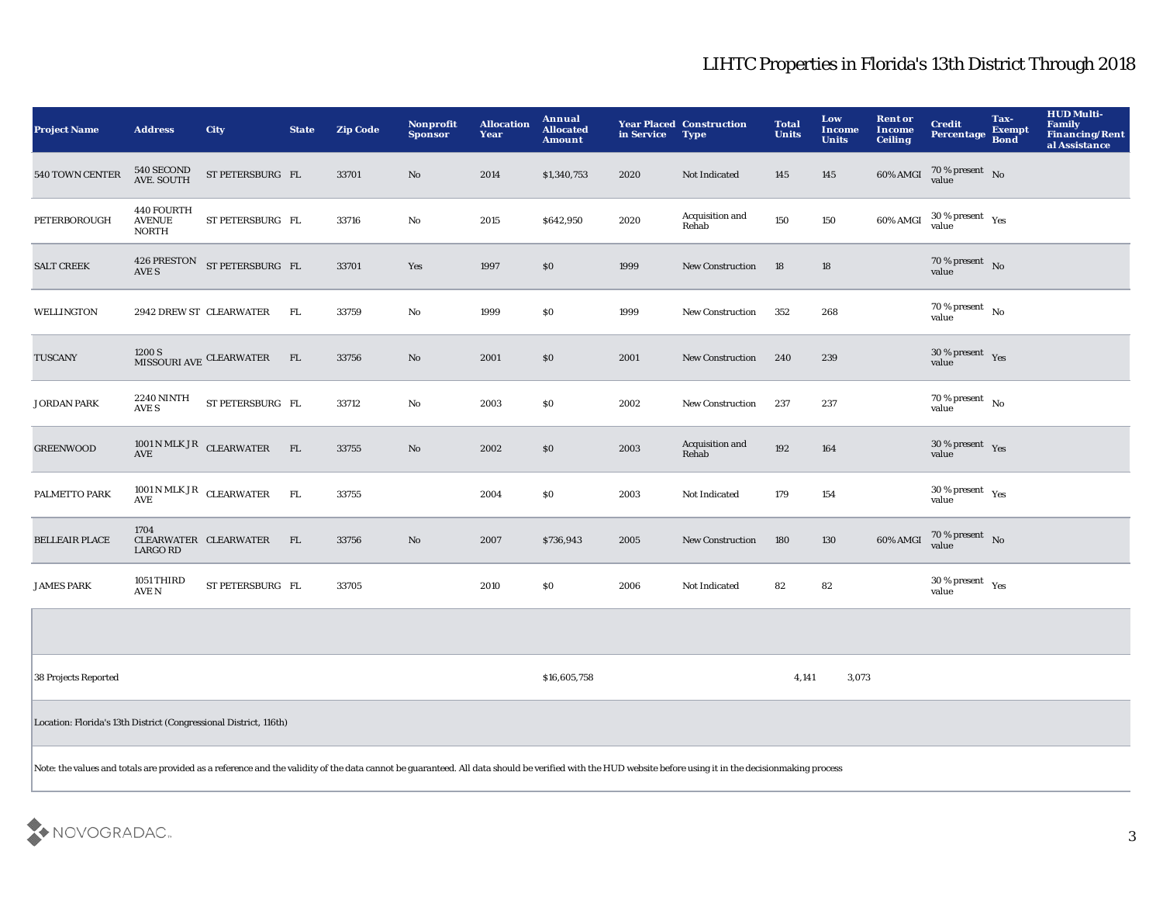| <b>Project Name</b>                                                                                                                                                                                       | <b>Address</b>                              | <b>City</b>                  | <b>State</b> | <b>Zip Code</b> | Nonprofit<br><b>Sponsor</b> | <b>Allocation</b><br>Year | Annual<br><b>Allocated</b><br><b>Amount</b> | in Service | <b>Year Placed Construction</b><br><b>Type</b> | <b>Total</b><br><b>Units</b> | Low<br>Income<br><b>Units</b> | <b>Rent or</b><br><b>Income</b><br><b>Ceiling</b> | <b>Credit</b><br><b>Percentage</b>              | Tax-<br><b>Exempt</b><br><b>Bond</b> | <b>HUD Multi-</b><br>Family<br>Financing/Rent<br>al Assistance |
|-----------------------------------------------------------------------------------------------------------------------------------------------------------------------------------------------------------|---------------------------------------------|------------------------------|--------------|-----------------|-----------------------------|---------------------------|---------------------------------------------|------------|------------------------------------------------|------------------------------|-------------------------------|---------------------------------------------------|-------------------------------------------------|--------------------------------------|----------------------------------------------------------------|
| 540 TOWN CENTER                                                                                                                                                                                           | 540 SECOND<br>AVE. SOUTH                    | ST PETERSBURG FL             |              | 33701           | No                          | 2014                      | \$1,340,753                                 | 2020       | Not Indicated                                  | 145                          | 145                           | $60\%$ AMGI                                       | $70\,\%$ present $$$ No value                   |                                      |                                                                |
| PETERBOROUGH                                                                                                                                                                                              | 440 FOURTH<br><b>AVENUE</b><br><b>NORTH</b> | ST PETERSBURG FL             |              | 33716           | No                          | 2015                      | \$642,950                                   | 2020       | Acquisition and<br>Rehab                       | 150                          | 150                           | 60% AMGI                                          | $30\,\%$ present $\;\;$ Yes value               |                                      |                                                                |
| <b>SALT CREEK</b>                                                                                                                                                                                         | AVE S                                       | 426 PRESTON ST PETERSBURG FL |              | 33701           | Yes                         | 1997                      | $\$0$                                       | 1999       | <b>New Construction</b>                        | 18                           | 18                            |                                                   | $70\,\%$ present No<br>value                    |                                      |                                                                |
| <b>WELLINGTON</b>                                                                                                                                                                                         |                                             | 2942 DREW ST CLEARWATER      | FL.          | 33759           | No                          | 1999                      | \$0                                         | 1999       | <b>New Construction</b>                        | 352                          | 268                           |                                                   | $70\,\%$ present $_{\,$ No $\,$<br>value        |                                      |                                                                |
| <b>TUSCANY</b>                                                                                                                                                                                            | 1200 S                                      | MISSOURI AVE CLEARWATER      | FL           | 33756           | No                          | 2001                      | \$0                                         | 2001       | <b>New Construction</b>                        | 240                          | 239                           |                                                   | 30 % present $Yes$<br>value                     |                                      |                                                                |
| <b>JORDAN PARK</b>                                                                                                                                                                                        | <b>2240 NINTH</b><br>AVE S                  | ST PETERSBURG FL             |              | 33712           | No                          | 2003                      | $\$0$                                       | 2002       | New Construction                               | 237                          | 237                           |                                                   | $70\,\%$ present $$_{\rm No}$$<br>value         |                                      |                                                                |
| <b>GREENWOOD</b>                                                                                                                                                                                          | AVE                                         | 1001 N MLK JR CLEARWATER     | FL           | 33755           | No                          | 2002                      | \$0                                         | 2003       | Acquisition and<br>Rehab                       | 192                          | 164                           |                                                   | $30\%$ present $Y$ es<br>value                  |                                      |                                                                |
| PALMETTO PARK                                                                                                                                                                                             | <b>AVE</b>                                  | 1001 N MLK JR CLEARWATER     | FL           | 33755           |                             | 2004                      | \$0                                         | 2003       | Not Indicated                                  | 179                          | 154                           |                                                   | $30\,\%$ present $\quad$ Yes<br>value           |                                      |                                                                |
| <b>BELLEAIR PLACE</b>                                                                                                                                                                                     | 1704<br>LARGO RD                            | CLEARWATER CLEARWATER        | FL           | 33756           | No                          | 2007                      | \$736,943                                   | 2005       | <b>New Construction</b>                        | 180                          | 130                           | 60% AMGI                                          | 70 % present<br>value                           |                                      |                                                                |
| <b>JAMES PARK</b>                                                                                                                                                                                         | 1051 THIRD<br>AVE N                         | ST PETERSBURG FL             |              | 33705           |                             | 2010                      | \$0\$                                       | 2006       | Not Indicated                                  | 82                           | 82                            |                                                   | $30\,\%$ present $\rm \gamma_{\rm PS}$<br>value |                                      |                                                                |
|                                                                                                                                                                                                           |                                             |                              |              |                 |                             |                           |                                             |            |                                                |                              |                               |                                                   |                                                 |                                      |                                                                |
| 38 Projects Reported                                                                                                                                                                                      |                                             |                              |              |                 |                             |                           | \$16,605,758                                |            |                                                | 4,141                        | 3,073                         |                                                   |                                                 |                                      |                                                                |
| Location: Florida's 13th District (Congressional District, 116th)                                                                                                                                         |                                             |                              |              |                 |                             |                           |                                             |            |                                                |                              |                               |                                                   |                                                 |                                      |                                                                |
| Note: the values and totals are provided as a reference and the validity of the data cannot be guaranteed. All data should be verified with the HUD website before using it in the decisionmaking process |                                             |                              |              |                 |                             |                           |                                             |            |                                                |                              |                               |                                                   |                                                 |                                      |                                                                |